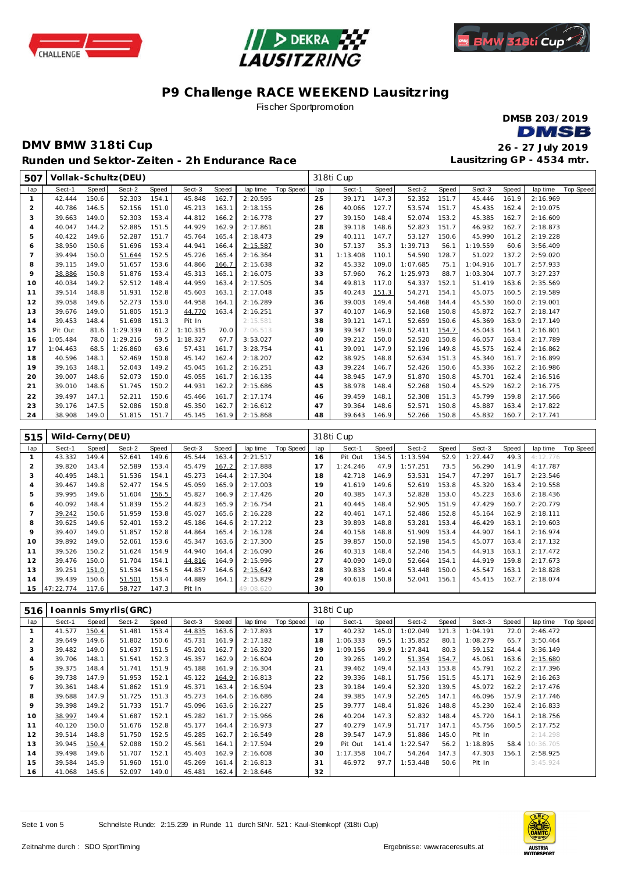





**Lausitzring GP - 4534 mtr.**

# **P9 Challenge RACE WEEKEND Lausitzring**

Fischer Sportpromotion

**DMSB 203/2019 DMSB** 

### **DMV BMW 318ti Cup 26 - 27 July 2019 Runden und Sektor-Ze iten - 2h Endurance Race**

 **Vollak-Schultz(DEU)** 318ti C up lap | Sect-1 Speed | Sect-2 Speed | Sect-3 Speed | lap time Top Speed | lap | Sect-1 Speed | Sect-2 Speed | Sect-3 Speed | lap time Top Speed 42.444 150.6 52.303 154.1 45.848 162.7 2:20.595 40.786 146.5 52.156 151.0 45.213 163.1 2:18.155 39.663 149.0 52.303 153.4 44.812 166.2 2:16.778 40.047 144.2 52.885 151.5 44.929 162.9 2:17.861 40.422 149.6 52.287 151.7 45.764 165.4 2:18.473 38.950 150.6 51.696 153.4 44.941 166.4 2:15.587 39.494 150.0 51.644 152.5 45.226 165.4 2:16.364 8 39.115 149.0 51.657 153.6 44.866 <u>166.7</u> 2:15.638<br>9 38.886 150.8 51.876 153.4 45.313 165.1 2:16.075 38.886 150.8 51.876 153.4 45.313 165.1 2:16.075 40.034 149.2 52.512 148.4 44.959 163.4 2:17.505 39.514 148.8 51.931 152.8 45.603 163.1 2:17.048 39.058 149.6 52.273 153.0 44.958 164.1 2:16.289 39.676 149.0 51.805 151.3 44.770 163.4 2:16.251 39.453 148.4 51.698 151.3 Pit In 2:15.581 Pit Out 81.6 | 1:29.339 61.2 | 1:10.315 70.0 | 7:06.513 1:05.484 78.0 1:29.216 59.5 1:18.327 67.7 3:53.027 1:04.463 68.5 1:26.860 63.6 57.431 161.7 3:28.754 40.596 148.1 52.469 150.8 45.142 162.4 2:18.207 39.163 148.1 52.043 149.2 45.045 161.2 2:16.251 39.007 148.6 52.073 150.0 45.055 161.7 2:16.135 39.010 148.6 51.745 150.2 44.931 162.2 2:15.686 39.497 147.1 52.211 150.6 45.466 161.7 2:17.174 39.176 147.5 52.086 150.8 45.350 162.7 2:16.612 38.908 149.0 51.815 151.7 45.145 161.9 2:15.868 39.171 147.3 52.352 151.7 45.446 161.9 2:16.969 40.066 127.7 53.574 151.7 45.435 162.4 2:19.075 39.150 148.4 52.074 153.2 45.385 162.7 2:16.609 28 39.118 148.6 52.823 151.7 46.932 162.7 2:18.873<br>29 40.111 147.7 53.127 150.6 45.990 161.2 2:19.228 40.111 147.7 53.127 150.6 45.990 161.2 2:19.228 57.137 35.3 1:39.713 56.1 1:19.559 60.6 3:56.409 1:13.408 110.1 54.590 128.7 51.022 137.2 2:59.020 45.332 109.0 1:07.685 75.1 1:04.916 101.7 2:57.933 57.960 76.2 1:25.973 88.7 1:03.304 107.7 3:27.237 49.813 117.0 54.337 152.1 51.419 163.6 2:35.569 40.243 151.3 54.271 154.1 45.075 160.5 2:19.589 39.003 149.4 54.468 144.4 45.530 160.0 2:19.001 40.107 146.9 52.168 150.8 45.872 162.7 2:18.147 39.121 147.1 52.659 150.6 45.369 163.9 2:17.149 39.347 149.0 52.411 154.7 45.043 164.1 2:16.801 39.212 150.0 52.520 150.8 46.057 163.4 2:17.789 39.091 147.9 52.196 149.8 45.575 162.4 2:16.862 38.925 148.8 52.634 151.3 45.340 161.7 2:16.899 39.224 146.7 52.426 150.6 45.336 162.2 2:16.986 38.945 147.9 51.870 150.8 45.701 162.4 2:16.516 38.978 148.4 52.268 150.4 45.529 162.2 2:16.775 39.459 148.1 52.308 151.3 45.799 159.8 2:17.566 39.364 148.6 52.571 150.8 45.887 163.4 2:17.822 39.643 146.9 52.266 150.8 45.832 160.7 2:17.741

| 515 | Wild-Cerny (DEU) |       |        |       |        |       |           |           |     | 318ti Cup |       |          |       |          |       |          |           |
|-----|------------------|-------|--------|-------|--------|-------|-----------|-----------|-----|-----------|-------|----------|-------|----------|-------|----------|-----------|
| lap | Sect-1           | Speed | Sect-2 | Speed | Sect-3 | Speed | lap time  | Top Speed | lap | Sect-1    | Speed | Sect-2   | Speed | Sect-3   | Speed | lap time | Top Speed |
|     | 43.332           | 149.4 | 52.641 | 149.6 | 45.544 | 163.4 | 2:21.517  |           | 16  | Pit Out   | 134.5 | 1:13.594 | 52.9  | 1:27.447 | 49.3  | 4:12.776 |           |
|     | 39.820           | 143.4 | 52.589 | 153.4 | 45.479 | 167.2 | 2:17.888  |           |     | 1:24.246  | 47.9  | 1:57.251 | 73.5  | 56.290   | 141.9 | 4:17.787 |           |
| 3   | 40.495           | 148.1 | 51.536 | 154.1 | 45.273 | 164.4 | 2:17.304  |           | 18  | 42.718    | 146.9 | 53.531   | 154.7 | 47.297   | 161.7 | 2:23.546 |           |
| 4   | 39.467           | 149.8 | 52.477 | 154.5 | 45.059 | 165.9 | 2:17.003  |           | 19  | 41.619    | 149.6 | 52.619   | 153.8 | 45.320   | 163.4 | 2:19.558 |           |
| 5   | 39.995           | 149.6 | 51.604 | 156.5 | 45.827 | 166.9 | 2:17.426  |           | 20  | 40.385    | 147.3 | 52.828   | 153.0 | 45.223   | 163.6 | 2:18.436 |           |
| 6   | 40.092           | 148.4 | 51.839 | 155.2 | 44.823 | 165.9 | 2:16.754  |           | 21  | 40.445    | 148.4 | 52.905   | 151.9 | 47.429   | 160.7 | 2:20.779 |           |
|     | 39.242           | 150.6 | 51.959 | 153.8 | 45.027 | 165.6 | 2:16.228  |           | 22  | 40.461    | 147.1 | 52.486   | 152.8 | 45.164   | 162.9 | 2:18.111 |           |
| 8   | 39.625           | 149.6 | 52.401 | 153.2 | 45.186 | 164.6 | 2:17.212  |           | 23  | 39.893    | 148.8 | 53.281   | 153.4 | 46.429   | 163.1 | 2:19.603 |           |
| 9   | 39.407           | 149.0 | 51.857 | 152.8 | 44.864 | 165.4 | 2:16.128  |           | 24  | 40.158    | 148.8 | 51.909   | 153.4 | 44.907   | 164.1 | 2:16.974 |           |
| 10  | 39.892           | 149.0 | 52.061 | 153.6 | 45.347 | 163.6 | 2:17.300  |           | 25  | 39.857    | 150.0 | 52.198   | 154.5 | 45.077   | 163.4 | 2:17.132 |           |
| 11  | 39.526           | 150.2 | 51.624 | 154.9 | 44.940 | 164.4 | 2:16.090  |           | 26  | 40.313    | 148.4 | 52.246   | 154.5 | 44.913   | 163.1 | 2:17.472 |           |
| 12  | 39.476           | 150.0 | 51.704 | 154.1 | 44.816 | 164.9 | 2:15.996  |           | 27  | 40.090    | 149.0 | 52.664   | 154.1 | 44.919   | 159.8 | 2:17.673 |           |
| 13  | 39.251           | 151.0 | 51.534 | 154.5 | 44.857 | 164.6 | 2:15.642  |           | 28  | 39.833    | 149.4 | 53.448   | 150.0 | 45.547   | 163.1 | 2:18.828 |           |
| 14  | 39.439           | 150.6 | 51.501 | 153.4 | 44.889 | 164.1 | 2:15.829  |           | 29  | 40.618    | 150.8 | 52.041   | 156.1 | 45.415   | 162.7 | 2:18.074 |           |
| 15  | 47:22.774        | 117.6 | 58.727 | 147.3 | Pit In |       | 49:08.620 |           | 30  |           |       |          |       |          |       |          |           |

| 516 |        |       | oannis Smyrlis (GRC) |       |        |       |          |           |             | 318ti Cup |       |          |       |          |       |           |           |
|-----|--------|-------|----------------------|-------|--------|-------|----------|-----------|-------------|-----------|-------|----------|-------|----------|-------|-----------|-----------|
| lap | Sect-1 | Speed | Sect-2               | Speed | Sect-3 | Speed | lap time | Top Speed | lap         | Sect-1    | Speed | Sect-2   | Speed | Sect-3   | Speed | lap time  | Top Speed |
|     | 41.577 | 150.4 | 51.481               | 153.4 | 44.835 | 163.6 | 2:17.893 |           | 17          | 40.232    | 145.0 | 1:02.049 | 121.3 | 1:04.191 | 72.0  | 2:46.472  |           |
| 2   | 39.649 | 149.6 | 51.802               | 150.6 | 45.731 | 161.9 | 2:17.182 |           | 18          | 1:06.333  | 69.5  | 1:35.852 | 80.1  | 1:08.279 | 65.7  | 3:50.464  |           |
| 3   | 39.482 | 149.0 | 51.637               | 151.5 | 45.201 | 162.7 | 2:16.320 |           | 19          | 1:09.156  | 39.9  | 1:27.841 | 80.3  | 59.152   | 164.4 | 3:36.149  |           |
| 4   | 39.706 | 148.1 | 51.541               | 152.3 | 45.357 | 162.9 | 2:16.604 |           | 20          | 39.265    | 149.2 | 51.354   | 154.7 | 45.061   | 163.6 | 2:15.680  |           |
| 5   | 39.375 | 148.4 | 51.741               | 151.9 | 45.188 | 161.9 | 2:16.304 |           | $2^{\cdot}$ | 39.462    | 149.4 | 52.143   | 153.8 | 45.791   | 162.2 | 2:17.396  |           |
| 6   | 39.738 | 147.9 | 51.953               | 152.1 | 45.122 | 164.9 | 2:16.813 |           | 22          | 39.336    | 148.1 | 51.756   | 151.5 | 45.171   | 162.9 | 2:16.263  |           |
|     | 39.361 | 148.4 | 51.862               | 151.9 | 45.371 | 163.4 | 2:16.594 |           | 23          | 39.184    | 149.4 | 52.320   | 139.5 | 45.972   | 162.2 | 2:17.476  |           |
| 8   | 39.688 | 147.9 | 51.725               | 151.3 | 45.273 | 164.6 | 2:16.686 |           | 24          | 39.385    | 147.9 | 52.265   | 147.1 | 46.096   | 157.9 | 2:17.746  |           |
| 9   | 39.398 | 149.2 | 51.733               | 151.7 | 45.096 | 163.6 | 2:16.227 |           | 25          | 39.777    | 148.4 | 51.826   | 148.8 | 45.230   | 162.4 | 2:16.833  |           |
| 10  | 38.997 | 149.4 | 51.687               | 152.1 | 45.282 | 161.7 | 2:15.966 |           | 26          | 40.204    | 147.3 | 52.832   | 148.4 | 45.720   | 164.1 | 2:18.756  |           |
| 11  | 40.120 | 150.0 | 51.676               | 152.8 | 45.177 | 164.4 | 2:16.973 |           | 27          | 40.279    | 147.9 | 51.717   | 147.1 | 45.756   | 160.5 | 2:17.752  |           |
| 12  | 39.514 | 148.8 | 51.750               | 152.5 | 45.285 | 162.7 | 2:16.549 |           | 28          | 39.547    | 147.9 | 51.886   | 145.0 | Pit In   |       | 2:14.298  |           |
| 13  | 39.945 | 150.4 | 52.088               | 150.2 | 45.561 | 164.1 | 2:17.594 |           | 29          | Pit Out   | 141.4 | 1:22.547 | 56.2  | 1:18.895 | 58.4  | 10:36.705 |           |
| 14  | 39.498 | 149.6 | 51.707               | 152.1 | 45.403 | 162.9 | 2:16.608 |           | 30          | 1:17.358  | 104.7 | 54.264   | 147.3 | 47.303   | 156.1 | 2:58.925  |           |
| 15  | 39.584 | 145.9 | 51.960               | 151.0 | 45.269 | 161.4 | 2:16.813 |           | 31          | 46.972    | 97.7  | 1:53.448 | 50.6  | Pit In   |       | 3:45.924  |           |
| 16  | 41.068 | 145.6 | 52.097               | 149.0 | 45.481 | 162.4 | 2:18.646 |           | 32          |           |       |          |       |          |       |           |           |

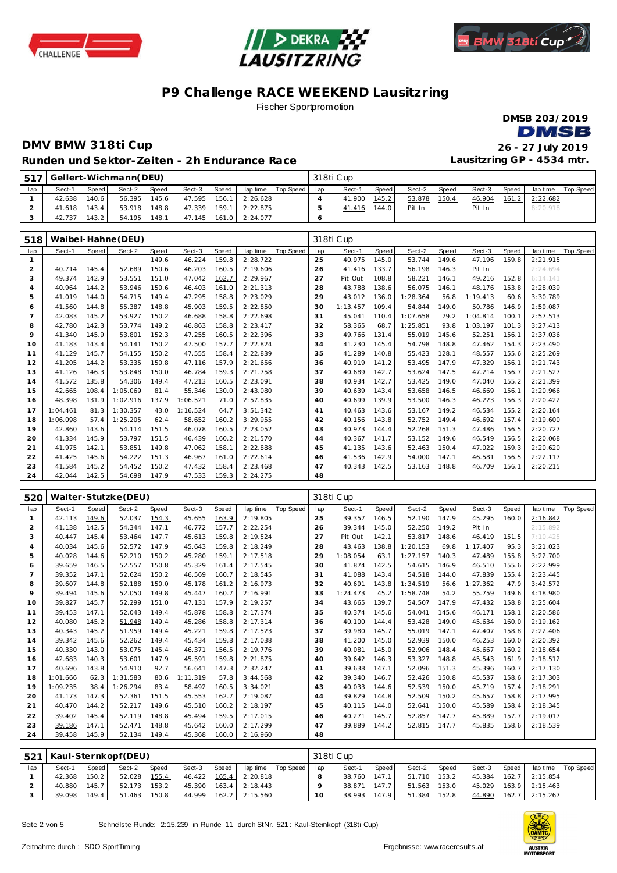





Fischer Sportpromotion

**DMSB 203/2019 DMSB** 

### **DMV BMW 318ti Cup 26 - 27 July 2019 Runden und Sektor-Ze iten - 2h Endurance Race**

**Lausitzring GP - 4534 mtr.**

|     | [517] Gellert-Wichmann(DEU) |       |        |       |        |       |                         |                    |     | 318ti Cup |       |        |       |        |       |          |           |
|-----|-----------------------------|-------|--------|-------|--------|-------|-------------------------|--------------------|-----|-----------|-------|--------|-------|--------|-------|----------|-----------|
| lap | Sect-1                      | Speed | Sect-2 | Speed | Sect-3 | Speed |                         | lap time Top Speed | lap | Sect-1    | Speed | Sect-2 | Speed | Sect-3 | Speed | lap time | Top Speed |
|     | 42.638                      | 140.6 | 56.395 | 145.6 | 47.595 | 156.1 | $1 \mid 2:26.628$       |                    |     | 41.900    | 145.2 | 53.878 | 150.4 | 46.904 | 161.2 | 2:22.682 |           |
|     | 41.618                      | 143.4 | 53.918 | 148.8 | 47.339 |       | 159.1 2:22.875          |                    |     | 41.416    | 144.0 | Pit In |       | Pit In |       | 8:20.918 |           |
|     | 42.737                      | 143.2 | 54.195 | 148.1 |        |       | 47.145  161.0  2:24.077 |                    |     |           |       |        |       |        |       |          |           |

| 518            |          |       | Waibel-Hahne (DEU) |       |          |       |          |           |     | 318ti Cup |       |          |       |          |       |          |           |
|----------------|----------|-------|--------------------|-------|----------|-------|----------|-----------|-----|-----------|-------|----------|-------|----------|-------|----------|-----------|
| lap            | Sect-1   | Speed | Sect-2             | Speed | Sect-3   | Speed | lap time | Top Speed | lap | Sect-1    | Speed | Sect-2   | Speed | Sect-3   | Speed | lap time | Top Speed |
|                |          |       |                    | 149.6 | 46.224   | 159.8 | 2:28.722 |           | 25  | 40.975    | 145.0 | 53.744   | 149.6 | 47.196   | 159.8 | 2:21.915 |           |
| $\overline{2}$ | 40.714   | 145.4 | 52.689             | 150.6 | 46.203   | 160.5 | 2:19.606 |           | 26  | 41.416    | 133.7 | 56.198   | 146.3 | Pit In   |       | 2:24.694 |           |
| 3              | 49.374   | 142.9 | 53.551             | 151.0 | 47.042   | 162.7 | 2:29.967 |           | 27  | Pit Out   | 108.8 | 58.221   | 146.1 | 49.216   | 152.8 | 6:14.141 |           |
| 4              | 40.964   | 144.2 | 53.946             | 150.6 | 46.403   | 161.0 | 2:21.313 |           | 28  | 43.788    | 138.6 | 56.075   | 146.1 | 48.176   | 153.8 | 2:28.039 |           |
| 5              | 41.019   | 144.0 | 54.715             | 149.4 | 47.295   | 158.8 | 2:23.029 |           | 29  | 43.012    | 136.0 | 1:28.364 | 56.8  | 1:19.413 | 60.6  | 3:30.789 |           |
| 6              | 41.560   | 144.8 | 55.387             | 148.8 | 45.903   | 159.5 | 2:22.850 |           | 30  | 1:13.457  | 109.4 | 54.844   | 149.0 | 50.786   | 146.9 | 2:59.087 |           |
| $\overline{7}$ | 42.083   | 145.2 | 53.927             | 150.2 | 46.688   | 158.8 | 2:22.698 |           | 31  | 45.041    | 110.4 | 1:07.658 | 79.2  | 1:04.814 | 100.1 | 2:57.513 |           |
| 8              | 42.780   | 142.3 | 53.774             | 149.2 | 46.863   | 158.8 | 2:23.417 |           | 32  | 58.365    | 68.7  | 1:25.851 | 93.8  | 1:03.197 | 101.3 | 3:27.413 |           |
| 9              | 41.340   | 145.9 | 53.801             | 152.3 | 47.255   | 160.5 | 2:22.396 |           | 33  | 49.766    | 131.4 | 55.019   | 145.6 | 52.251   | 156.1 | 2:37.036 |           |
| 10             | 41.183   | 143.4 | 54.141             | 150.2 | 47.500   | 157.7 | 2:22.824 |           | 34  | 41.230    | 145.4 | 54.798   | 148.8 | 47.462   | 154.3 | 2:23.490 |           |
| 11             | 41.129   | 145.7 | 54.155             | 150.2 | 47.555   | 158.4 | 2:22.839 |           | 35  | 41.289    | 140.8 | 55.423   | 128.1 | 48.557   | 155.6 | 2:25.269 |           |
| 12             | 41.205   | 144.2 | 53.335             | 150.8 | 47.116   | 157.9 | 2:21.656 |           | 36  | 40.919    | 141.2 | 53.495   | 147.9 | 47.329   | 156.1 | 2:21.743 |           |
| 13             | 41.126   | 146.3 | 53.848             | 150.0 | 46.784   | 159.3 | 2:21.758 |           | 37  | 40.689    | 142.7 | 53.624   | 147.5 | 47.214   | 156.7 | 2:21.527 |           |
| 14             | 41.572   | 135.8 | 54.306             | 149.4 | 47.213   | 160.5 | 2:23.091 |           | 38  | 40.934    | 142.7 | 53.425   | 149.0 | 47.040   | 155.2 | 2:21.399 |           |
| 15             | 42.665   | 108.4 | 1:05.069           | 81.4  | 55.346   | 130.0 | 2:43.080 |           | 39  | 40.639    | 143.4 | 53.658   | 146.5 | 46.669   | 156.1 | 2:20.966 |           |
| 16             | 48.398   | 131.9 | 1:02.916           | 137.9 | 1:06.521 | 71.0  | 2:57.835 |           | 40  | 40.699    | 139.9 | 53.500   | 146.3 | 46.223   | 156.3 | 2:20.422 |           |
| 17             | 1:04.461 | 81.3  | 1:30.357           | 43.0  | 1:16.524 | 64.7  | 3:51.342 |           | 41  | 40.463    | 143.6 | 53.167   | 149.2 | 46.534   | 155.2 | 2:20.164 |           |
| 18             | 1:06.098 | 57.4  | 1:25.205           | 62.4  | 58.652   | 160.2 | 3:29.955 |           | 42  | 40.156    | 143.8 | 52.752   | 149.4 | 46.692   | 157.4 | 2:19.600 |           |
| 19             | 42.860   | 143.6 | 54.114             | 151.5 | 46.078   | 160.5 | 2:23.052 |           | 43  | 40.973    | 144.4 | 52.268   | 151.3 | 47.486   | 156.5 | 2:20.727 |           |
| 20             | 41.334   | 145.9 | 53.797             | 151.5 | 46.439   | 160.2 | 2:21.570 |           | 44  | 40.367    | 141.7 | 53.152   | 149.6 | 46.549   | 156.5 | 2:20.068 |           |
| 21             | 41.975   | 142.1 | 53.851             | 149.8 | 47.062   | 158.1 | 2:22.888 |           | 45  | 41.135    | 143.6 | 52.463   | 150.4 | 47.022   | 159.3 | 2:20.620 |           |
| 22             | 41.425   | 145.6 | 54.222             | 151.3 | 46.967   | 161.0 | 2:22.614 |           | 46  | 41.536    | 142.9 | 54.000   | 147.1 | 46.581   | 156.5 | 2:22.117 |           |
| 23             | 41.584   | 145.2 | 54.452             | 150.2 | 47.432   | 158.4 | 2:23.468 |           | 47  | 40.343    | 142.5 | 53.163   | 148.8 | 46.709   | 156.1 | 2:20.215 |           |
| 24             | 42.044   | 142.5 | 54.698             | 147.9 | 47.533   | 159.3 | 2:24.275 |           | 48  |           |       |          |       |          |       |          |           |

| 520            |          |       | Walter-Stutzke (DEU) |       |          |       |          |                  |     | 318ti Cup |       |          |       |          |       |          |           |
|----------------|----------|-------|----------------------|-------|----------|-------|----------|------------------|-----|-----------|-------|----------|-------|----------|-------|----------|-----------|
| lap            | Sect-1   | Speed | Sect-2               | Speed | Sect-3   | Speed | lap time | <b>Top Speed</b> | lap | Sect-1    | Speed | Sect-2   | Speed | Sect-3   | Speed | lap time | Top Speed |
| -1             | 42.113   | 149.6 | 52.037               | 154.3 | 45.655   | 163.9 | 2:19.805 |                  | 25  | 39.357    | 146.5 | 52.190   | 147.9 | 45.295   | 160.0 | 2:16.842 |           |
| $\overline{2}$ | 41.138   | 142.5 | 54.344               | 147.1 | 46.772   | 157.7 | 2:22.254 |                  | 26  | 39.344    | 145.0 | 52.250   | 149.2 | Pit In   |       | 2:15.892 |           |
| 3              | 40.447   | 145.4 | 53.464               | 147.7 | 45.613   | 159.8 | 2:19.524 |                  | 27  | Pit Out   | 142.1 | 53.817   | 148.6 | 46.419   | 151.5 | 7:10.425 |           |
| 4              | 40.034   | 145.6 | 52.572               | 147.9 | 45.643   | 159.8 | 2:18.249 |                  | 28  | 43.463    | 138.8 | 1:20.153 | 69.8  | 1:17.407 | 95.3  | 3:21.023 |           |
| 5              | 40.028   | 144.6 | 52.210               | 150.2 | 45.280   | 159.1 | 2:17.518 |                  | 29  | 1:08.054  | 63.1  | 1:27.157 | 140.3 | 47.489   | 155.8 | 3:22.700 |           |
| 6              | 39.659   | 146.5 | 52.557               | 150.8 | 45.329   | 161.4 | 2:17.545 |                  | 30  | 41.874    | 142.5 | 54.615   | 146.9 | 46.510   | 155.6 | 2:22.999 |           |
| 7              | 39.352   | 147.1 | 52.624               | 150.2 | 46.569   | 160.7 | 2:18.545 |                  | 31  | 41.088    | 143.4 | 54.518   | 144.0 | 47.839   | 155.4 | 2:23.445 |           |
| 8              | 39.607   | 144.8 | 52.188               | 150.0 | 45.178   | 161.2 | 2:16.973 |                  | 32  | 40.691    | 143.8 | 1:34.519 | 56.6  | 1:27.362 | 47.9  | 3:42.572 |           |
| 9              | 39.494   | 145.6 | 52.050               | 149.8 | 45.447   | 160.7 | 2:16.991 |                  | 33  | 1:24.473  | 45.2  | 1:58.748 | 54.2  | 55.759   | 149.6 | 4:18.980 |           |
| 10             | 39.827   | 145.7 | 52.299               | 151.0 | 47.131   | 157.9 | 2:19.257 |                  | 34  | 43.665    | 139.7 | 54.507   | 147.9 | 47.432   | 158.8 | 2:25.604 |           |
| 11             | 39.453   | 147.1 | 52.043               | 149.4 | 45.878   | 158.8 | 2:17.374 |                  | 35  | 40.374    | 145.6 | 54.041   | 145.6 | 46.171   | 158.1 | 2:20.586 |           |
| 12             | 40.080   | 145.2 | 51.948               | 149.4 | 45.286   | 158.8 | 2:17.314 |                  | 36  | 40.100    | 144.4 | 53.428   | 149.0 | 45.634   | 160.0 | 2:19.162 |           |
| 13             | 40.343   | 145.2 | 51.959               | 149.4 | 45.221   | 159.8 | 2:17.523 |                  | 37  | 39.980    | 145.7 | 55.019   | 147.1 | 47.407   | 158.8 | 2:22.406 |           |
| 14             | 39.342   | 145.6 | 52.262               | 149.4 | 45.434   | 159.8 | 2:17.038 |                  | 38  | 41.200    | 145.0 | 52.939   | 150.0 | 46.253   | 160.0 | 2:20.392 |           |
| 15             | 40.330   | 143.0 | 53.075               | 145.4 | 46.371   | 156.5 | 2:19.776 |                  | 39  | 40.081    | 145.0 | 52.906   | 148.4 | 45.667   | 160.2 | 2:18.654 |           |
| 16             | 42.683   | 140.3 | 53.601               | 147.9 | 45.591   | 159.8 | 2:21.875 |                  | 40  | 39.642    | 146.3 | 53.327   | 148.8 | 45.543   | 161.9 | 2:18.512 |           |
| 17             | 40.696   | 143.8 | 54.910               | 92.7  | 56.641   | 147.3 | 2:32.247 |                  | 41  | 39.638    | 147.1 | 52.096   | 151.3 | 45.396   | 160.7 | 2:17.130 |           |
| 18             | 1:01.666 | 62.3  | 1:31.583             | 80.6  | 1:11.319 | 57.8  | 3:44.568 |                  | 42  | 39.340    | 146.7 | 52.426   | 150.8 | 45.537   | 158.6 | 2:17.303 |           |
| 19             | 1:09.235 | 38.4  | 1:26.294             | 83.4  | 58.492   | 160.5 | 3:34.021 |                  | 43  | 40.033    | 144.6 | 52.539   | 150.0 | 45.719   | 157.4 | 2:18.291 |           |
| 20             | 41.173   | 147.3 | 52.361               | 151.5 | 45.553   | 162.7 | 2:19.087 |                  | 44  | 39.829    | 144.8 | 52.509   | 150.2 | 45.657   | 158.8 | 2:17.995 |           |
| 21             | 40.470   | 144.2 | 52.217               | 149.6 | 45.510   | 160.2 | 2:18.197 |                  | 45  | 40.115    | 144.0 | 52.641   | 150.0 | 45.589   | 158.4 | 2:18.345 |           |
| 22             | 39.402   | 145.4 | 52.119               | 148.8 | 45.494   | 159.5 | 2:17.015 |                  | 46  | 40.271    | 145.7 | 52.857   | 147.7 | 45.889   | 157.7 | 2:19.017 |           |
| 23             | 39.186   | 147.1 | 52.471               | 148.8 | 45.642   | 160.0 | 2:17.299 |                  | 47  | 39.889    | 144.2 | 52.815   | 147.7 | 45.835   | 158.6 | 2:18.539 |           |
| 24             | 39.458   | 145.9 | 52.134               | 149.4 | 45.368   | 160.0 | 2:16.960 |                  | 48  |           |       |          |       |          |       |          |           |
|                |          |       |                      |       |          |       |          |                  |     |           |       |          |       |          |       |          |           |

| 521 | Kaul-Sternkopf(DEU) |       |        |       |                                    |       |                         |           | 318ti Cup    |       |              |       |                       |                                |  |
|-----|---------------------|-------|--------|-------|------------------------------------|-------|-------------------------|-----------|--------------|-------|--------------|-------|-----------------------|--------------------------------|--|
| lap | Sect-1              | Speed | Sect-2 | Speed | Sect-3                             | Speed | laptime Top Speed   lap |           | Sect-1       | Speed | Sect-2       | Speed |                       | Sect-3 Speed laptime Top Speed |  |
|     | 42.368              | 150.2 | 52.028 | 155.4 |                                    |       | 46.422  165.4  2:20.818 | 8         | 38.760       | 147.1 | 51.710 153.2 |       |                       | 45.384 162.7 2:15.854          |  |
|     | 40.880              | 145.7 | 52.173 | 153.2 |                                    |       | 45.390 163.4 2:18.443   |           | 38.871       | 147.7 | 51.563 153.0 |       |                       | 45.029 163.9 2:15.463          |  |
|     | 39.098              | 149.4 |        |       | 51.463 150.8 44.999 162.2 2:15.560 |       |                         | $10^{-7}$ | 38.993 147.9 |       | 51.384 152.8 |       | 44.890 162.7 2:15.267 |                                |  |

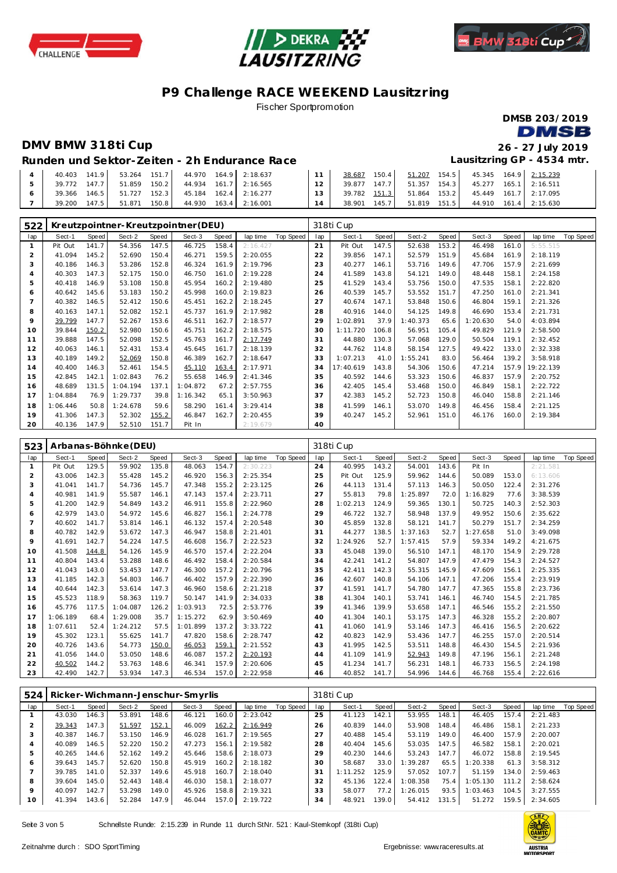





Fischer Sportpromotion

**DMSB 203/2019 DMSB** 

### **DMV BMW 318ti Cup 26 - 27 July 2019**

# **Lausitzring GP - 4534 mtr.**

#### **Runden und Sektor-Ze iten - 2h Endurance Race**

| 141.9<br>40.403     | 151.7<br>53.264 | 44.970 | 164.9 2:18.637   |        | 150.4<br>38.687 | 51.207<br>154.5     | 45.345  164.9  2:15.239 |                  |
|---------------------|-----------------|--------|------------------|--------|-----------------|---------------------|-------------------------|------------------|
| 147.71<br>39.772    | 51.859<br>150.2 | 44.934 | $161.7$ 2:16.565 | 12     | 147.7<br>39.877 | $154.3$  <br>51.357 | 45.277                  | $165.1$ 2:16.511 |
| 146.5<br>39.366     | 152.3<br>51.727 | 45.184 | 162.4 2:16.277   | $13-1$ | 39.782 151.3    | 153.2<br>51.864     | 45.449                  | 161.7 2:17.095   |
| $147.5$  <br>39.200 | 150.8<br>51.871 | 44.930 | $163.4$ 2:16.001 |        | 145.7<br>38.901 | 151.5<br>51.819     | 44.910                  | 161.4 2:15.630   |

| 522 |          |       |          |       | Kreutzpointner-Kreutzpointner (DEU) |       |           |           |     | 318ti Cup |       |          |       |          |       |           |           |
|-----|----------|-------|----------|-------|-------------------------------------|-------|-----------|-----------|-----|-----------|-------|----------|-------|----------|-------|-----------|-----------|
| lap | Sect-1   | Speed | Sect-2   | Speed | Sect-3                              | Speed | lap time  | Top Speed | lap | Sect-1    | Speed | Sect-2   | Speed | Sect-3   | Speed | lap time  | Top Speed |
|     | Pit Out  | 141.7 | 54.356   | 147.5 | 46.725                              | 158.4 | 2:16.427  |           | 21  | Pit Out   | 147.5 | 52.638   | 153.2 | 46.498   | 161.0 | 5:55.515  |           |
| 2   | 41.094   | 145.2 | 52.690   | 150.4 | 46.271                              | 159.5 | 2:20.055  |           | 22  | 39.856    | 147.1 | 52.579   | 151.9 | 45.684   | 161.9 | 2:18.119  |           |
| 3   | 40.186   | 146.3 | 53.286   | 152.8 | 46.324                              | 161.9 | 2:19.796  |           | 23  | 40.277    | 146.1 | 53.716   | 149.6 | 47.706   | 157.9 | 2:21.699  |           |
| 4   | 40.303   | 147.3 | 52.175   | 150.0 | 46.750                              | 161.0 | 2:19.228  |           | 24  | 41.589    | 143.8 | 54.121   | 149.0 | 48.448   | 158.1 | 2:24.158  |           |
| 5   | 40.418   | 146.9 | 53.108   | 150.8 | 45.954                              | 160.2 | 2:19.480  |           | 25  | 41.529    | 143.4 | 53.756   | 150.0 | 47.535   | 158.1 | 2:22.820  |           |
| 6   | 40.642   | 145.6 | 53.183   | 150.2 | 45.998                              | 160.0 | 2:19.823  |           | 26  | 40.539    | 145.7 | 53.552   | 151.7 | 47.250   | 161.0 | 2:21.341  |           |
| 7   | 40.382   | 146.5 | 52.412   | 150.6 | 45.451                              | 162.2 | 2:18.245  |           | 27  | 40.674    | 147.1 | 53.848   | 150.6 | 46.804   | 159.1 | 2:21.326  |           |
| 8   | 40.163   | 147.1 | 52.082   | 152.1 | 45.737                              | 161.9 | 2:17.982  |           | 28  | 40.916    | 144.0 | 54.125   | 149.8 | 46.690   | 153.4 | 2:21.731  |           |
| 9   | 39.799   | 147.7 | 52.267   | 153.6 | 46.511                              | 162.7 | 2:18.577  |           | 29  | 1:02.891  | 37.9  | 1:40.373 | 65.6  | 1:20.630 | 54.0  | 4:03.894  |           |
| 10  | 39.844   | 150.2 | 52.980   | 150.6 | 45.751                              | 162.2 | 2:18.575  |           | 30  | 1:11.720  | 106.8 | 56.951   | 105.4 | 49.829   | 121.9 | 2:58.500  |           |
| 11  | 39.888   | 147.5 | 52.098   | 152.5 | 45.763                              | 161.7 | 2:17.749  |           | 31  | 44.880    | 130.3 | 57.068   | 129.0 | 50.504   | 119.1 | 2:32.452  |           |
| 12  | 40.063   | 146.1 | 52.431   | 153.4 | 45.645                              | 161.7 | 2:18.139  |           | 32  | 44.762    | 114.8 | 58.154   | 127.5 | 49.422   | 133.0 | 2:32.338  |           |
| 13  | 40.189   | 149.2 | 52.069   | 150.8 | 46.389                              | 162.7 | 2:18.647  |           | 33  | 1:07.213  | 41.0  | 1:55.241 | 83.0  | 56.464   | 139.2 | 3:58.918  |           |
| 14  | 40.400   | 146.3 | 52.461   | 154.5 | 45.110                              | 163.4 | 2:17.971  |           | 34  | 17:40.619 | 143.8 | 54.306   | 150.6 | 47.214   | 157.9 | 19:22.139 |           |
| 15  | 42.845   | 142.1 | 1:02.843 | 76.2  | 55.658                              | 146.9 | 2: 41.346 |           | 35  | 40.592    | 144.6 | 53.323   | 150.6 | 46.837   | 157.9 | 2:20.752  |           |
| 16  | 48.689   | 131.5 | 1:04.194 | 137.1 | 1:04.872                            | 67.2  | 2:57.755  |           | 36  | 42.405    | 145.4 | 53.468   | 150.0 | 46.849   | 158.1 | 2:22.722  |           |
| 17  | 1:04.884 | 76.9  | 1:29.737 | 39.8  | 1:16.342                            | 65.1  | 3:50.963  |           | 37  | 42.383    | 145.2 | 52.723   | 150.8 | 46.040   | 158.8 | 2:21.146  |           |
| 18  | 1:06.446 | 50.8  | 1:24.678 | 59.6  | 58.290                              | 161.4 | 3:29.414  |           | 38  | 41.599    | 146.1 | 53.070   | 149.8 | 46.456   | 158.4 | 2:21.125  |           |
| 19  | 41.306   | 147.3 | 52.302   | 155.2 | 46.847                              | 162.7 | 2:20.455  |           | 39  | 40.247    | 145.2 | 52.961   | 151.0 | 46.176   | 160.0 | 2:19.384  |           |
| 20  | 40.136   | 147.9 | 52.510   | 151.7 | Pit In                              |       | 2:19.679  |           | 40  |           |       |          |       |          |       |           |           |

| 523            |          |       | Arbanas-Böhnke (DEU) |       |          |              |          |           |     | 318ti Cup |       |          |       |          |       |          |           |
|----------------|----------|-------|----------------------|-------|----------|--------------|----------|-----------|-----|-----------|-------|----------|-------|----------|-------|----------|-----------|
| lap            | Sect-1   | Speed | Sect-2               | Speed | Sect-3   | <b>Speed</b> | lap time | Top Speed | lap | Sect-1    | Speed | Sect-2   | Speed | Sect-3   | Speed | lap time | Top Speed |
| -1             | Pit Out  | 129.5 | 59.902               | 135.8 | 48.063   | 154.7        | 2:30.223 |           | 24  | 40.995    | 143.2 | 54.001   | 143.6 | Pit In   |       | 2:21.581 |           |
| $\overline{2}$ | 43.006   | 142.3 | 55.428               | 145.2 | 46.920   | 156.3        | 2:25.354 |           | 25  | Pit Out   | 125.9 | 59.962   | 144.6 | 50.089   | 153.0 | 6:13.606 |           |
| 3              | 41.041   | 141.7 | 54.736               | 145.7 | 47.348   | 155.2        | 2:23.125 |           | 26  | 44.113    | 131.4 | 57.113   | 146.3 | 50.050   | 122.4 | 2:31.276 |           |
| 4              | 40.981   | 141.9 | 55.587               | 146.1 | 47.143   | 157.4        | 2:23.711 |           | 27  | 55.813    | 79.8  | 1:25.897 | 72.0  | 1:16.829 | 77.6  | 3:38.539 |           |
| 5              | 41.200   | 142.9 | 54.849               | 143.2 | 46.911   | 155.8        | 2:22.960 |           | 28  | 1:02.213  | 124.9 | 59.365   | 130.1 | 50.725   | 140.3 | 2:52.303 |           |
| 6              | 42.979   | 143.0 | 54.972               | 145.6 | 46.827   | 156.1        | 2:24.778 |           | 29  | 46.722    | 132.7 | 58.948   | 137.9 | 49.952   | 150.6 | 2:35.622 |           |
| 7              | 40.602   | 141.7 | 53.814               | 146.1 | 46.132   | 157.4        | 2:20.548 |           | 30  | 45.859    | 132.8 | 58.121   | 141.7 | 50.279   | 151.7 | 2:34.259 |           |
| 8              | 40.782   | 142.9 | 53.672               | 147.3 | 46.947   | 158.8        | 2:21.401 |           | 31  | 44.277    | 138.5 | 1:37.163 | 52.7  | 1:27.658 | 51.0  | 3:49.098 |           |
| 9              | 41.691   | 142.7 | 54.224               | 147.5 | 46.608   | 156.7        | 2:22.523 |           | 32  | 1:24.926  | 52.7  | 1:57.415 | 57.9  | 59.334   | 149.2 | 4:21.675 |           |
| 10             | 41.508   | 144.8 | 54.126               | 145.9 | 46.570   | 157.4        | 2:22.204 |           | 33  | 45.048    | 139.0 | 56.510   | 147.1 | 48.170   | 154.9 | 2:29.728 |           |
| 11             | 40.804   | 143.4 | 53.288               | 148.6 | 46.492   | 158.4        | 2:20.584 |           | 34  | 42.241    | 141.2 | 54.807   | 147.9 | 47.479   | 154.3 | 2:24.527 |           |
| 12             | 41.043   | 143.0 | 53.453               | 147.7 | 46.300   | 157.2        | 2:20.796 |           | 35  | 42.411    | 142.3 | 55.315   | 145.9 | 47.609   | 156.1 | 2:25.335 |           |
| 13             | 41.185   | 142.3 | 54.803               | 146.7 | 46.402   | 157.9        | 2:22.390 |           | 36  | 42.607    | 140.8 | 54.106   | 147.1 | 47.206   | 155.4 | 2:23.919 |           |
| 14             | 40.644   | 142.3 | 53.614               | 147.3 | 46.960   | 158.6        | 2:21.218 |           | 37  | 41.591    | 141.7 | 54.780   | 147.7 | 47.365   | 155.8 | 2:23.736 |           |
| 15             | 45.523   | 118.9 | 58.363               | 119.7 | 50.147   | 141.9        | 2:34.033 |           | 38  | 41.304    | 140.1 | 53.741   | 146.1 | 46.740   | 154.5 | 2:21.785 |           |
| 16             | 45.776   | 117.5 | 1:04.087             | 126.2 | 1:03.913 | 72.5         | 2:53.776 |           | 39  | 41.346    | 139.9 | 53.658   | 147.1 | 46.546   | 155.2 | 2:21.550 |           |
| 17             | 1:06.189 | 68.4  | 1:29.008             | 35.7  | 1:15.272 | 62.9         | 3:50.469 |           | 40  | 41.304    | 140.1 | 53.175   | 147.3 | 46.328   | 155.2 | 2:20.807 |           |
| 18             | 1:07.611 | 52.4  | 1:24.212             | 57.5  | 1:01.899 | 137.2        | 3:33.722 |           | 41  | 41.060    | 141.9 | 53.146   | 147.3 | 46.416   | 156.5 | 2:20.622 |           |
| 19             | 45.302   | 123.1 | 55.625               | 141.7 | 47.820   | 158.6        | 2:28.747 |           | 42  | 40.823    | 142.9 | 53.436   | 147.7 | 46.255   | 157.0 | 2:20.514 |           |
| 20             | 40.726   | 143.6 | 54.773               | 150.0 | 46.053   | 159.1        | 2:21.552 |           | 43  | 41.995    | 142.5 | 53.511   | 148.8 | 46.430   | 154.5 | 2:21.936 |           |
| 21             | 41.056   | 144.0 | 53.050               | 148.6 | 46.087   | 157.2        | 2:20.193 |           | 44  | 41.109    | 141.9 | 52.943   | 149.8 | 47.196   | 156.1 | 2:21.248 |           |
| 22             | 40.502   | 144.2 | 53.763               | 148.6 | 46.341   | 157.9        | 2:20.606 |           | 45  | 41.234    | 141.7 | 56.231   | 148.1 | 46.733   | 156.5 | 2:24.198 |           |
| 23             | 42.490   | 142.7 | 53.934               | 147.3 | 46.534   | 157.0        | 2:22.958 |           | 46  | 40.852    | 141.7 | 54.996   | 144.6 | 46.768   | 155.4 | 2:22.616 |           |

| 524 |        |       |        |       | Ricker-Wichmann-Jenschur-Smyrlis |       |          |           |     | 318ti Cup |       |          |       |          |       |          |           |
|-----|--------|-------|--------|-------|----------------------------------|-------|----------|-----------|-----|-----------|-------|----------|-------|----------|-------|----------|-----------|
| lap | Sect-1 | Speed | Sect-2 | Speed | Sect-3                           | Speed | lap time | Top Speed | lap | Sect-1    | Speed | Sect-2   | Speed | Sect-3   | Speed | lap time | Top Speed |
|     | 43.030 | 146.3 | 53.891 | 148.6 | 46.121                           | 160.0 | 2:23.042 |           | 25  | 41.123    | 142.1 | 53.955   | 148.1 | 46.405   | 157.4 | 2:21.483 |           |
| 2   | 39.343 | 147.3 | 51.597 | 152.1 | 46.009                           | 162.2 | 2:16.949 |           | 26  | 40.839    | 144.0 | 53.908   | 148.4 | 46.486   | 158.1 | 2:21.233 |           |
|     | 40.387 | 146.7 | 53.150 | 146.9 | 46.028                           | 161.7 | 2:19.565 |           | 27  | 40.488    | 145.4 | 53.119   | 149.0 | 46.400   | 157.9 | 2:20.007 |           |
| 4   | 40.089 | 146.5 | 52.220 | 150.2 | 47.273                           | 156.1 | 2:19.582 |           | 28  | 40.404    | 145.6 | 53.035   | 147.5 | 46.582   | 158.1 | 2:20.021 |           |
| 5   | 40.265 | 144.6 | 52.162 | 149.2 | 45.646                           | 158.6 | 2:18.073 |           | 29  | 40.230    | 144.6 | 53.243   | 147.7 | 46.072   | 158.8 | 2:19.545 |           |
| 6   | 39.643 | 145.7 | 52.620 | 150.8 | 45.919                           | 160.2 | 2:18.182 |           | 30  | 58.687    | 33.0  | 1:39.287 | 65.5  | 1:20.338 | 61.3  | 3:58.312 |           |
|     | 39.785 | 141.0 | 52.337 | 149.6 | 45.918                           | 160.7 | 2:18.040 |           | 31  | 1:11.252  | 125.9 | 57.052   | 107.7 | 51.159   | 134.0 | 2:59.463 |           |
| 8   | 39.604 | 145.0 | 52.443 | 148.4 | 46.030                           | 158.1 | 2:18.077 |           | 32  | 45.136    | 122.4 | 1:08.358 | 75.4  | 1:05.130 | 111.2 | 2:58.624 |           |
| 9   | 40.097 | 142.7 | 53.298 | 149.0 | 45.926                           | 158.8 | 2:19.321 |           | 33  | 58.077    | 77.2  | 1:26.015 | 93.5  | 1:03.463 | 104.5 | 3:27.555 |           |
| 10  | 41.394 | 143.6 | 52.284 | 147.9 | 46.044                           | 157.0 | 2:19.722 |           | 34  | 48.921    | 139.0 | 54.412   | 131.5 | 51.272   | 159.5 | 2:34.605 |           |

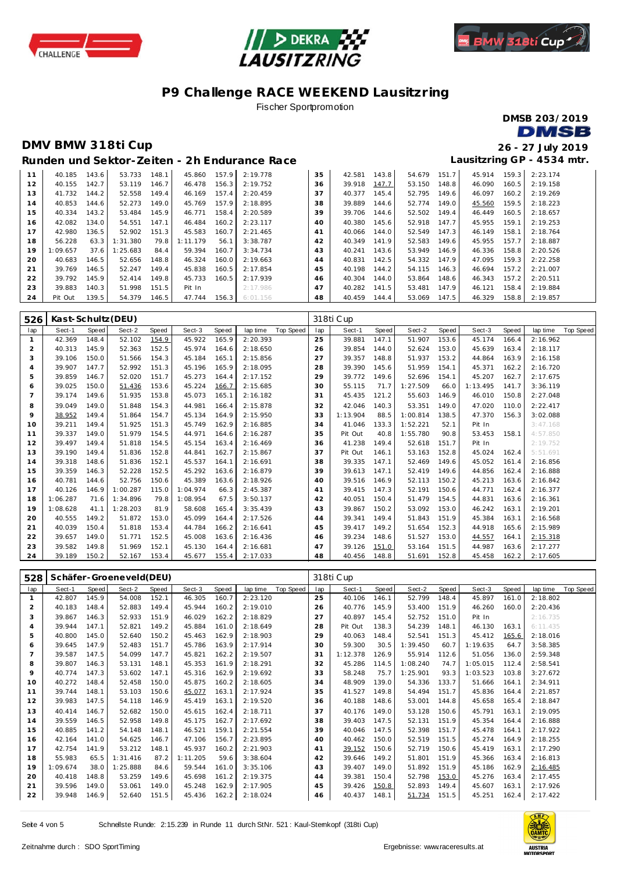





Fischer Sportpromotion

DMSB 203/2019 **DMSB** 

### DMV BMW 318ti Cup

26 - 27 July 2019 Lausitzring GP - 4534 mtr.

|  |  |  | Runden und Sektor-Zeiten - 2h Endurance Race |  |
|--|--|--|----------------------------------------------|--|
|--|--|--|----------------------------------------------|--|

| 11 | 40.185   | 143.6 | 53.733   | 148.1 | 45.860   | 157.9 | 2:19.778 | 35 | 42.581 | 143.8 | 54.679 | 151.7 | 45.914 | 159.3 | 2:23.174 |
|----|----------|-------|----------|-------|----------|-------|----------|----|--------|-------|--------|-------|--------|-------|----------|
| 12 | 40.155   | 142.7 | 53.119   | 146.7 | 46.478   | 156.3 | 2:19.752 | 36 | 39.918 | 147.7 | 53.150 | 148.8 | 46.090 | 160.5 | 2:19.158 |
| 13 | 41.732   | 144.2 | 52.558   | 149.4 | 46.169   | 157.4 | 2:20.459 | 37 | 40.377 | 145.4 | 52.795 | 149.6 | 46.097 | 160.2 | 2:19.269 |
| 14 | 40.853   | 144.6 | 52.273   | 149.0 | 45.769   | 157.9 | 2:18.895 | 38 | 39.889 | 144.6 | 52.774 | 149.0 | 45.560 | 159.5 | 2:18.223 |
| 15 | 40.334   | 143.2 | 53.484   | 145.9 | 46.771   | 158.4 | 2:20.589 | 39 | 39.706 | 144.6 | 52.502 | 149.4 | 46.449 | 160.5 | 2:18.657 |
| 16 | 42.082   | 134.0 | 54.551   | 147.1 | 46.484   | 160.2 | 2:23.117 | 40 | 40.380 | 145.6 | 52.918 | 147.7 | 45.955 | 159.1 | 2:19.253 |
| 17 | 42.980   | 136.5 | 52.902   | 151.3 | 45.583   | 160.7 | 2:21.465 | 41 | 40.066 | 144.0 | 52.549 | 147.3 | 46.149 | 158.1 | 2:18.764 |
| 18 | 56.228   | 63.3  | 1:31.380 | 79.8  | 1:11.179 | 56.1  | 3:38.787 | 42 | 40.349 | 141.9 | 52.583 | 149.6 | 45.955 | 157.7 | 2:18.887 |
| 19 | 1:09.657 | 37.6  | 1:25.683 | 84.4  | 59.394   | 160.7 | 3:34.734 | 43 | 40.241 | 143.6 | 53.949 | 146.9 | 46.336 | 158.8 | 2:20.526 |
| 20 | 40.683   | 146.5 | 52.656   | 148.8 | 46.324   | 160.0 | 2:19.663 | 44 | 40.831 | 142.5 | 54.332 | 147.9 | 47.095 | 159.3 | 2:22.258 |
| 21 | 39.769   | 146.5 | 52.247   | 149.4 | 45.838   | 160.5 | 2:17.854 | 45 | 40.198 | 144.2 | 54.115 | 146.3 | 46.694 | 157.2 | 2:21.007 |
| 22 | 39.792   | 145.9 | 52.414   | 149.8 | 45.733   | 160.5 | 2:17.939 | 46 | 40.304 | 144.0 | 53.864 | 148.6 | 46.343 | 157.2 | 2:20.511 |
| 23 | 39.883   | 140.3 | 51.998   | 151.5 | Pit In   |       | 2:17.986 | 47 | 40.282 | 141.5 | 53.481 | 147.9 | 46.121 | 158.4 | 2:19.884 |
| 24 | Pit Out  | 139.5 | 54.379   | 146.5 | 47.744   | 156.3 | 6:01.156 | 48 | 40.459 | 144.4 | 53.069 | 147.5 | 46.329 | 158.8 | 2:19.857 |
|    |          |       |          |       |          |       |          |    |        |       |        |       |        |       |          |

| 526            | Kast-Schultz (DEU) |       |          |       |          |       |          |                  |     | 318ti Cup    |       |          |       |          |       |          |           |  |
|----------------|--------------------|-------|----------|-------|----------|-------|----------|------------------|-----|--------------|-------|----------|-------|----------|-------|----------|-----------|--|
| lap            | Sect-1             | Speed | Sect-2   | Speed | Sect-3   | Speed | lap time | <b>Top Speed</b> | lap | Sect-1       | Speed | Sect-2   | Speed | Sect-3   | Speed | lap time | Top Speed |  |
|                | 42.369             | 148.4 | 52.102   | 154.9 | 45.922   | 165.9 | 2:20.393 |                  | 25  | 39.881       | 147.1 | 51.907   | 153.6 | 45.174   | 166.4 | 2:16.962 |           |  |
| $\overline{2}$ | 40.313             | 145.9 | 52.363   | 152.5 | 45.974   | 164.6 | 2:18.650 |                  | 26  | 39.854       | 144.0 | 52.624   | 153.0 | 45.639   | 163.4 | 2:18.117 |           |  |
| 3              | 39.106             | 150.0 | 51.566   | 154.3 | 45.184   | 165.1 | 2:15.856 |                  | 27  | 39.357       | 148.8 | 51.937   | 153.2 | 44.864   | 163.9 | 2:16.158 |           |  |
| 4              | 39.907             | 147.7 | 52.992   | 151.3 | 45.196   | 165.9 | 2:18.095 |                  | 28  | 39.390       | 145.6 | 51.959   | 154.1 | 45.371   | 162.2 | 2:16.720 |           |  |
| 5              | 39.859             | 146.7 | 52.020   | 151.7 | 45.273   | 164.4 | 2:17.152 |                  | 29  | 39.772       | 149.6 | 52.696   | 154.1 | 45.207   | 162.7 | 2:17.675 |           |  |
| 6              | 39.025             | 150.0 | 51.436   | 153.6 | 45.224   | 166.7 | 2:15.685 |                  | 30  | 55.115       | 71.7  | 1:27.509 | 66.0  | 1:13.495 | 141.7 | 3:36.119 |           |  |
| $\overline{7}$ | 39.174             | 149.6 | 51.935   | 153.8 | 45.073   | 165.1 | 2:16.182 |                  | 31  | 45.435       | 121.2 | 55.603   | 146.9 | 46.010   | 150.8 | 2:27.048 |           |  |
| 8              | 39.049             | 149.0 | 51.848   | 154.3 | 44.981   | 166.4 | 2:15.878 |                  | 32  | 42.046       | 140.3 | 53.351   | 149.0 | 47.020   | 110.0 | 2:22.417 |           |  |
| 9              | 38.952             | 149.4 | 51.864   | 154.7 | 45.134   | 164.9 | 2:15.950 |                  | 33  | 1:13.904     | 88.5  | 1:00.814 | 138.5 | 47.370   | 156.3 | 3:02.088 |           |  |
| 10             | 39.211             | 149.4 | 51.925   | 151.3 | 45.749   | 162.9 | 2:16.885 |                  | 34  | 41.046       | 133.3 | 1:52.221 | 52.1  | Pit In   |       | 3:47.168 |           |  |
| 11             | 39.337             | 149.0 | 51.979   | 154.5 | 44.971   | 164.6 | 2:16.287 |                  | 35  | Pit Out      | 40.8  | 1:55.780 | 90.8  | 53.453   | 158.1 | 4:57.850 |           |  |
| 12             | 39.497             | 149.4 | 51.818   | 154.5 | 45.154   | 163.4 | 2:16.469 |                  | 36  | 41.238       | 149.4 | 52.618   | 151.7 | Pit In   |       | 2:19.752 |           |  |
| 13             | 39.190             | 149.4 | 51.836   | 152.8 | 44.841   | 162.7 | 2:15.867 |                  | 37  | Pit Out      | 146.1 | 53.163   | 152.8 | 45.024   | 162.4 | 5:51.691 |           |  |
| 14             | 39.318             | 148.6 | 51.836   | 152.1 | 45.537   | 164.1 | 2:16.691 |                  | 38  | 39.335       | 147.1 | 52.469   | 149.6 | 45.052   | 161.4 | 2:16.856 |           |  |
| 15             | 39.359             | 146.3 | 52.228   | 152.5 | 45.292   | 163.6 | 2:16.879 |                  | 39  | 39.613       | 147.1 | 52.419   | 149.6 | 44.856   | 162.4 | 2:16.888 |           |  |
| 16             | 40.781             | 144.6 | 52.756   | 150.6 | 45.389   | 163.6 | 2:18.926 |                  | 40  | 39.516       | 146.9 | 52.113   | 150.2 | 45.213   | 163.6 | 2:16.842 |           |  |
| 17             | 40.126             | 146.9 | 1:00.287 | 115.0 | 1:04.974 | 66.3  | 2:45.387 |                  | 41  | 39.415       | 147.3 | 52.191   | 150.6 | 44.771   | 162.4 | 2:16.377 |           |  |
| 18             | 1:06.287           | 71.6  | 1:34.896 | 79.8  | 1:08.954 | 67.5  | 3:50.137 |                  | 42  | 40.051       | 150.4 | 51.479   | 154.5 | 44.831   | 163.6 | 2:16.361 |           |  |
| 19             | 1:08.628           | 41.1  | 1:28.203 | 81.9  | 58.608   | 165.4 | 3:35.439 |                  | 43  | 39.867       | 150.2 | 53.092   | 153.0 | 46.242   | 163.1 | 2:19.201 |           |  |
| 20             | 40.555             | 149.2 | 51.872   | 153.0 | 45.099   | 164.4 | 2:17.526 |                  | 44  | 39.341       | 149.4 | 51.843   | 151.9 | 45.384   | 163.1 | 2:16.568 |           |  |
| 21             | 40.039             | 150.4 | 51.818   | 153.4 | 44.784   | 166.2 | 2:16.641 |                  | 45  | 39.417       | 149.2 | 51.654   | 152.3 | 44.918   | 165.6 | 2:15.989 |           |  |
| 22             | 39.657             | 149.0 | 51.771   | 152.5 | 45.008   | 163.6 | 2:16.436 |                  | 46  | 39.234       | 148.6 | 51.527   | 153.0 | 44.557   | 164.1 | 2:15.318 |           |  |
| 23             | 39.582             | 149.8 | 51.969   | 152.1 | 45.130   | 164.4 | 2:16.681 |                  | 47  | 39.126       | 151.0 | 53.164   | 151.5 | 44.987   | 163.6 | 2:17.277 |           |  |
| 24             | 39.189             | 150.2 | 52.167   | 153.4 | 45.677   | 155.4 | 2:17.033 |                  | 48  | 40.456 148.8 |       | 51.691   | 152.8 | 45.458   | 162.2 | 2:17.605 |           |  |

| 528            | Schäfer-Groeneveld(DEU) |       |          |       |          |       |          |           | 318ti Cup |          |       |          |       |          |       |          |           |  |
|----------------|-------------------------|-------|----------|-------|----------|-------|----------|-----------|-----------|----------|-------|----------|-------|----------|-------|----------|-----------|--|
| lap            | Sect-1                  | Speed | Sect-2   | Speed | Sect-3   | Speed | lap time | Top Speed | lap       | Sect-1   | Speed | Sect-2   | Speed | Sect-3   | Speed | lap time | Top Speed |  |
| $\mathbf{1}$   | 42.807                  | 145.9 | 54.008   | 152.1 | 46.305   | 160.7 | 2:23.120 |           | 25        | 40.106   | 146.1 | 52.799   | 148.4 | 45.897   | 161.0 | 2:18.802 |           |  |
| 2              | 40.183                  | 148.4 | 52.883   | 149.4 | 45.944   | 160.2 | 2:19.010 |           | 26        | 40.776   | 145.9 | 53.400   | 151.9 | 46.260   | 160.0 | 2:20.436 |           |  |
| 3              | 39.867                  | 146.3 | 52.933   | 151.9 | 46.029   | 162.2 | 2:18.829 |           | 27        | 40.897   | 145.4 | 52.752   | 151.0 | Pit In   |       | 2:16.735 |           |  |
| 4              | 39.944                  | 147.1 | 52.821   | 149.2 | 45.884   | 161.0 | 2:18.649 |           | 28        | Pit Out  | 138.3 | 54.239   | 148.1 | 46.130   | 163.1 | 6:11.435 |           |  |
| 5              | 40.800                  | 145.0 | 52.640   | 150.2 | 45.463   | 162.9 | 2:18.903 |           | 29        | 40.063   | 148.4 | 52.541   | 151.3 | 45.412   | 165.6 | 2:18.016 |           |  |
| 6              | 39.645                  | 147.9 | 52.483   | 151.7 | 45.786   | 163.9 | 2:17.914 |           | 30        | 59.300   | 30.5  | 1:39.450 | 60.7  | 1:19.635 | 64.7  | 3:58.385 |           |  |
| $\overline{7}$ | 39.587                  | 147.5 | 54.099   | 147.7 | 45.821   | 162.2 | 2:19.507 |           | 31        | 1:12.378 | 126.9 | 55.914   | 112.6 | 51.056   | 136.0 | 2:59.348 |           |  |
| 8              | 39.807                  | 146.3 | 53.131   | 148.1 | 45.353   | 161.9 | 2:18.291 |           | 32        | 45.286   | 114.5 | 1:08.240 | 74.7  | 1:05.015 | 112.4 | 2:58.541 |           |  |
| 9              | 40.774                  | 147.3 | 53.602   | 147.1 | 45.316   | 162.9 | 2:19.692 |           | 33        | 58.248   | 75.7  | 1:25.901 | 93.3  | 1:03.523 | 103.8 | 3:27.672 |           |  |
| 10             | 40.272                  | 148.4 | 52.458   | 150.0 | 45.875   | 160.2 | 2:18.605 |           | 34        | 48.909   | 139.0 | 54.336   | 133.7 | 51.666   | 164.1 | 2:34.911 |           |  |
| 11             | 39.744                  | 148.1 | 53.103   | 150.6 | 45.077   | 163.1 | 2:17.924 |           | 35        | 41.527   | 149.8 | 54.494   | 151.7 | 45.836   | 164.4 | 2:21.857 |           |  |
| 12             | 39.983                  | 147.5 | 54.118   | 146.9 | 45.419   | 163.1 | 2:19.520 |           | 36        | 40.188   | 148.6 | 53.001   | 144.8 | 45.658   | 165.4 | 2:18.847 |           |  |
| 13             | 40.414                  | 146.7 | 52.682   | 150.0 | 45.615   | 162.4 | 2:18.711 |           | 37        | 40.176   | 149.0 | 53.128   | 150.6 | 45.791   | 163.1 | 2:19.095 |           |  |
| 14             | 39.559                  | 146.5 | 52.958   | 149.8 | 45.175   | 162.7 | 2:17.692 |           | 38        | 39.403   | 147.5 | 52.131   | 151.9 | 45.354   | 164.4 | 2:16.888 |           |  |
| 15             | 40.885                  | 141.2 | 54.148   | 148.1 | 46.521   | 159.1 | 2:21.554 |           | 39        | 40.046   | 147.5 | 52.398   | 151.7 | 45.478   | 164.1 | 2:17.922 |           |  |
| 16             | 42.164                  | 141.0 | 54.625   | 146.7 | 47.106   | 156.7 | 2:23.895 |           | 40        | 40.462   | 150.0 | 52.519   | 151.5 | 45.274   | 164.9 | 2:18.255 |           |  |
| 17             | 42.754                  | 141.9 | 53.212   | 148.1 | 45.937   | 160.2 | 2:21.903 |           | 41        | 39.152   | 150.6 | 52.719   | 150.6 | 45.419   | 163.1 | 2:17.290 |           |  |
| 18             | 55.983                  | 65.5  | 1:31.416 | 87.2  | 1:11.205 | 59.6  | 3:38.604 |           | 42        | 39.646   | 149.2 | 51.801   | 151.9 | 45.366   | 163.4 | 2:16.813 |           |  |
| 19             | 1:09.674                | 38.0  | 1:25.888 | 84.6  | 59.544   | 161.0 | 3:35.106 |           | 43        | 39.407   | 149.0 | 51.892   | 151.9 | 45.186   | 162.9 | 2:16.485 |           |  |
| 20             | 40.418                  | 148.8 | 53.259   | 149.6 | 45.698   | 161.2 | 2:19.375 |           | 44        | 39.381   | 150.4 | 52.798   | 153.0 | 45.276   | 163.4 | 2:17.455 |           |  |
| 21             | 39.596                  | 149.0 | 53.061   | 149.0 | 45.248   | 162.9 | 2:17.905 |           | 45        | 39.426   | 150.8 | 52.893   | 149.4 | 45.607   | 163.1 | 2:17.926 |           |  |
| 22             | 39.948                  | 146.9 | 52.640   | 151.5 | 45.436   | 162.2 | 2:18.024 |           | 46        | 40.437   | 148.1 | 51.734   | 151.5 | 45.251   | 162.4 | 2:17.422 |           |  |

Seite 4 von 5